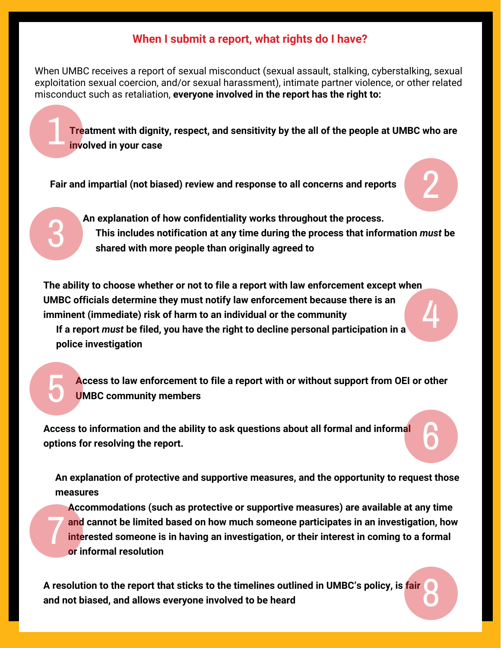## **When I submit a report, what rights do I have?**

When UMBC receives a report of sexual misconduct (sexual assault, stalking, cyberstalking, sexual exploitation sexual coercion, and/or sexual harassment), intimate partner violence, or other related misconduct such as retaliation, **everyone involved in the report has the right to:**

**Treatment with dignity, respect, and sensitivity by the all of the people at UMBC who are involved in your case** 1

**Fair and impartial (not biased) review and response to all concerns and reports**

3

5

## 2

6

**An explanation of how confidentiality works throughout the process. This includes notification at any time during the process that information** *must* **be shared with more people than originally agreed to**

**The ability to choose whether or not to file a report with law enforcement except when UMBC officials determine they must notify law enforcement because there is an imminent (immediate) risk of harm to an individual or the community** 4

**If a report** *must* **be filed, you have the right to decline personal participation in a police investigation**

**Access to law enforcement to file a report with or without support from OEI or other UMBC community members**

**Access to information and the ability to ask questions about all formal and informal options for resolving the report.**

**An explanation of protective and supportive measures, and the opportunity to request those measures**

**Accommodations (such as protective or supportive measures) are available at any time and cannot be limited based on how much someone participates in an investigation, how interested someone is in having an investigation, or their interest in coming to a formal or informal resolution** 7

**A resolution to the report that sticks to the timelines outlined in UMBC's policy, is fair and not biased, and allows everyone involved to be heard** 8